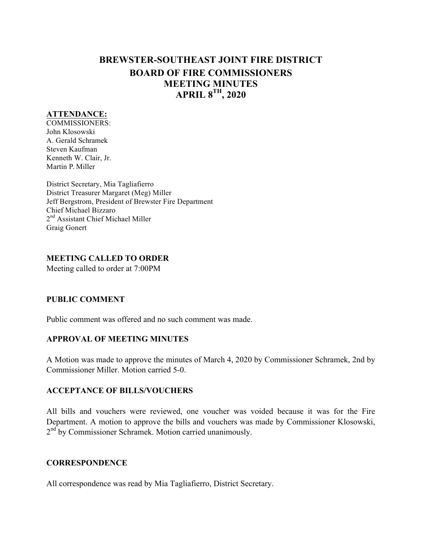# **BREWSTER-SOUTHEAST JOINT FIRE DISTRICT BOARD OF FIRE COMMISSIONERS MEETING MINUTES APRIL 8TH, 2020**

#### **ATTENDANCE:**

COMMISSIONERS: John Klosowski A. Gerald Schramek Steven Kaufman Kenneth W. Clair, Jr. Martin P. Miller

District Secretary, Mia Tagliafierro District Treasurer Margaret (Meg) Miller Jeff Bergstrom, President of Brewster Fire Department Chief Michael Bizzaro 2<sup>nd</sup> Assistant Chief Michael Miller Graig Gonert

#### **MEETING CALLED TO ORDER**

Meeting called to order at 7:00PM

#### **PUBLIC COMMENT**

Public comment was offered and no such comment was made.

#### **APPROVAL OF MEETING MINUTES**

A Motion was made to approve the minutes of March 4, 2020 by Commissioner Schramek, 2nd by Commissioner Miller. Motion carried 5-0.

#### **ACCEPTANCE OF BILLS/VOUCHERS**

All bills and vouchers were reviewed, one voucher was voided because it was for the Fire Department. A motion to approve the bills and vouchers was made by Commissioner Klosowski, 2<sup>nd</sup> by Commissioner Schramek. Motion carried unanimously.

#### **CORRESPONDENCE**

All correspondence was read by Mia Tagliafierro, District Secretary.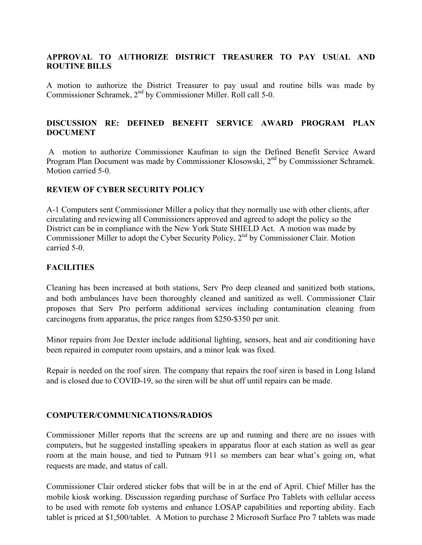### **APPROVAL TO AUTHORIZE DISTRICT TREASURER TO PAY USUAL AND ROUTINE BILLS**

A motion to authorize the District Treasurer to pay usual and routine bills was made by Commissioner Schramek, 2<sup>nd</sup> by Commissioner Miller. Roll call 5-0.

### **DISCUSSION RE: DEFINED BENEFIT SERVICE AWARD PROGRAM PLAN DOCUMENT**

A motion to authorize Commissioner Kaufman to sign the Defined Benefit Service Award Program Plan Document was made by Commissioner Klosowski, 2<sup>nd</sup> by Commissioner Schramek. Motion carried 5-0.

#### **REVIEW OF CYBER SECURITY POLICY**

A-1 Computers sent Commissioner Miller a policy that they normally use with other clients, after circulating and reviewing all Commissioners approved and agreed to adopt the policy so the District can be in compliance with the New York State SHIELD Act. A motion was made by Commissioner Miller to adopt the Cyber Security Policy, 2nd by Commissioner Clair. Motion carried 5-0.

#### **FACILITIES**

Cleaning has been increased at both stations, Serv Pro deep cleaned and sanitized both stations, and both ambulances have been thoroughly cleaned and sanitized as well. Commissioner Clair proposes that Serv Pro perform additional services including contamination cleaning from carcinogens from apparatus, the price ranges from \$250-\$350 per unit.

Minor repairs from Joe Dexter include additional lighting, sensors, heat and air conditioning have been repaired in computer room upstairs, and a minor leak was fixed.

Repair is needed on the roof siren. The company that repairs the roof siren is based in Long Island and is closed due to COVID-19, so the siren will be shut off until repairs can be made.

#### **COMPUTER/COMMUNICATIONS/RADIOS**

Commissioner Miller reports that the screens are up and running and there are no issues with computers, but he suggested installing speakers in apparatus floor at each station as well as gear room at the main house, and tied to Putnam 911 so members can hear what's going on, what requests are made, and status of call.

Commissioner Clair ordered sticker fobs that will be in at the end of April. Chief Miller has the mobile kiosk working. Discussion regarding purchase of Surface Pro Tablets with cellular access to be used with remote fob systems and enhance LOSAP capabilities and reporting ability. Each tablet is priced at \$1,500/tablet. A Motion to purchase 2 Microsoft Surface Pro 7 tablets was made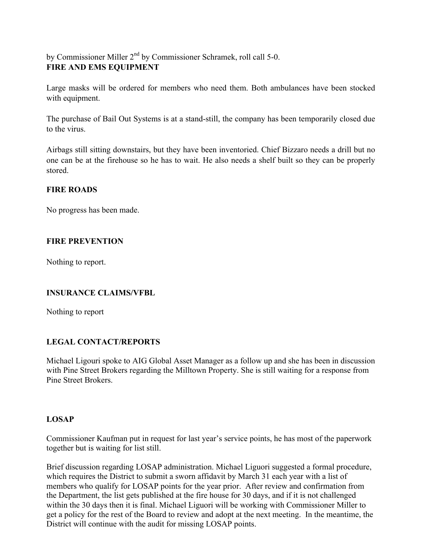by Commissioner Miller 2nd by Commissioner Schramek, roll call 5-0. **FIRE AND EMS EQUIPMENT**

Large masks will be ordered for members who need them. Both ambulances have been stocked with equipment.

The purchase of Bail Out Systems is at a stand-still, the company has been temporarily closed due to the virus.

Airbags still sitting downstairs, but they have been inventoried. Chief Bizzaro needs a drill but no one can be at the firehouse so he has to wait. He also needs a shelf built so they can be properly stored.

#### **FIRE ROADS**

No progress has been made.

#### **FIRE PREVENTION**

Nothing to report.

### **INSURANCE CLAIMS/VFBL**

Nothing to report

#### **LEGAL CONTACT/REPORTS**

Michael Ligouri spoke to AIG Global Asset Manager as a follow up and she has been in discussion with Pine Street Brokers regarding the Milltown Property. She is still waiting for a response from Pine Street Brokers.

#### **LOSAP**

Commissioner Kaufman put in request for last year's service points, he has most of the paperwork together but is waiting for list still.

Brief discussion regarding LOSAP administration. Michael Liguori suggested a formal procedure, which requires the District to submit a sworn affidavit by March 31 each year with a list of members who qualify for LOSAP points for the year prior. After review and confirmation from the Department, the list gets published at the fire house for 30 days, and if it is not challenged within the 30 days then it is final. Michael Liguori will be working with Commissioner Miller to get a policy for the rest of the Board to review and adopt at the next meeting. In the meantime, the District will continue with the audit for missing LOSAP points.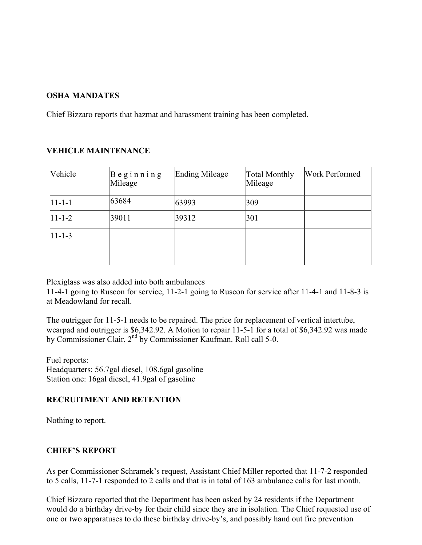#### **OSHA MANDATES**

Chief Bizzaro reports that hazmat and harassment training has been completed.

### **VEHICLE MAINTENANCE**

| Vehicle      | $\mathbf{B}$ eginning<br>Mileage | Ending Mileage | Total Monthly<br>Mileage | Work Performed |
|--------------|----------------------------------|----------------|--------------------------|----------------|
| $11 - 1 - 1$ | 63684                            | 63993          | 309                      |                |
| $11 - 1 - 2$ | 39011                            | 39312          | 301                      |                |
| $11 - 1 - 3$ |                                  |                |                          |                |
|              |                                  |                |                          |                |

Plexiglass was also added into both ambulances

11-4-1 going to Ruscon for service, 11-2-1 going to Ruscon for service after 11-4-1 and 11-8-3 is at Meadowland for recall.

The outrigger for 11-5-1 needs to be repaired. The price for replacement of vertical intertube, wearpad and outrigger is \$6,342.92. A Motion to repair 11-5-1 for a total of \$6,342.92 was made by Commissioner Clair, 2nd by Commissioner Kaufman. Roll call 5-0.

Fuel reports: Headquarters: 56.7gal diesel, 108.6gal gasoline Station one: 16gal diesel, 41.9gal of gasoline

### **RECRUITMENT AND RETENTION**

Nothing to report.

# **CHIEF'S REPORT**

As per Commissioner Schramek's request, Assistant Chief Miller reported that 11-7-2 responded to 5 calls, 11-7-1 responded to 2 calls and that is in total of 163 ambulance calls for last month.

Chief Bizzaro reported that the Department has been asked by 24 residents if the Department would do a birthday drive-by for their child since they are in isolation. The Chief requested use of one or two apparatuses to do these birthday drive-by's, and possibly hand out fire prevention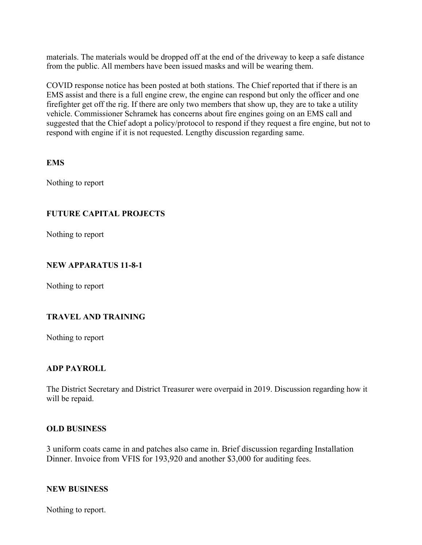materials. The materials would be dropped off at the end of the driveway to keep a safe distance from the public. All members have been issued masks and will be wearing them.

COVID response notice has been posted at both stations. The Chief reported that if there is an EMS assist and there is a full engine crew, the engine can respond but only the officer and one firefighter get off the rig. If there are only two members that show up, they are to take a utility vehicle. Commissioner Schramek has concerns about fire engines going on an EMS call and suggested that the Chief adopt a policy/protocol to respond if they request a fire engine, but not to respond with engine if it is not requested. Lengthy discussion regarding same.

**EMS**

Nothing to report

### **FUTURE CAPITAL PROJECTS**

Nothing to report

#### **NEW APPARATUS 11-8-1**

Nothing to report

#### **TRAVEL AND TRAINING**

Nothing to report

#### **ADP PAYROLL**

The District Secretary and District Treasurer were overpaid in 2019. Discussion regarding how it will be repaid.

#### **OLD BUSINESS**

3 uniform coats came in and patches also came in. Brief discussion regarding Installation Dinner. Invoice from VFIS for 193,920 and another \$3,000 for auditing fees.

#### **NEW BUSINESS**

Nothing to report.